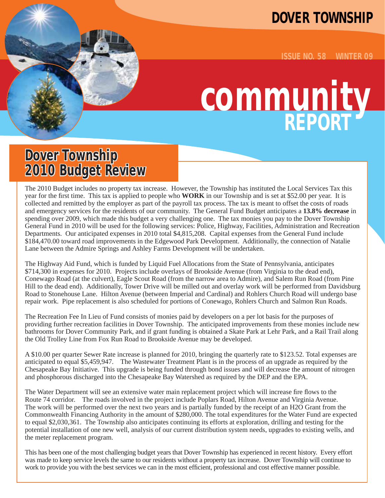### **DOVER TOWNSHIP**

**ISSUE NO. 58 WINTER 09**

# **community REPORT**

### **Dover Township 2010 Budget Review**

The 2010 Budget includes no property tax increase. However, the Township has instituted the Local Services Tax this year for the first time. This tax is applied to people who **WORK** in our Township and is set at \$52.00 per year. It is collected and remitted by the employer as part of the payroll tax process. The tax is meant to offset the costs of roads and emergency services for the residents of our community. The General Fund Budget anticipates a **13.8% decrease** in spending over 2009, which made this budget a very challenging one. The tax monies you pay to the Dover Township General Fund in 2010 will be used for the following services: Police, Highway, Facilities, Administration and Recreation Departments. Our anticipated expenses in 2010 total \$4,815,208. Capital expenses from the General Fund include \$184,470.00 toward road improvements in the Edgewood Park Development. Additionally, the connection of Natalie Lane between the Admire Springs and Ashley Farms Development will be undertaken.

The Highway Aid Fund, which is funded by Liquid Fuel Allocations from the State of Pennsylvania, anticipates \$714,300 in expenses for 2010. Projects include overlays of Brookside Avenue (from Virginia to the dead end), Conewago Road (at the culvert), Eagle Scout Road (from the narrow area to Admire), and Salem Run Road (from Pine Hill to the dead end). Additionally, Tower Drive will be milled out and overlay work will be performed from Davidsburg Road to Stonehouse Lane. Hilton Avenue (between Imperial and Cardinal) and Rohlers Church Road will undergo base repair work. Pipe replacement is also scheduled for portions of Conewago, Rohlers Church and Salmon Run Roads.

The Recreation Fee In Lieu of Fund consists of monies paid by developers on a per lot basis for the purposes of providing further recreation facilities in Dover Township. The anticipated improvements from these monies include new bathrooms for Dover Community Park, and if grant funding is obtained a Skate Park at Lehr Park, and a Rail Trail along the Old Trolley Line from Fox Run Road to Brookside Avenue may be developed.

A \$10.00 per quarter Sewer Rate increase is planned for 2010, bringing the quarterly rate to \$123.52. Total expenses are anticipated to equal \$5,459,947. The Wastewater Treatment Plant is in the process of an upgrade as required by the Chesapeake Bay Initiative. This upgrade is being funded through bond issues and will decrease the amount of nitrogen and phosphorous discharged into the Chesapeake Bay Watershed as required by the DEP and the EPA.

The Water Department will see an extensive water main replacement project which will increase fire flows to the Route 74 corridor. The roads involved in the project include Poplars Road, Hilton Avenue and Virginia Avenue. The work will be performed over the next two years and is partially funded by the receipt of an H2O Grant from the Commonwealth Financing Authority in the amount of \$280,000. The total expenditures for the Water Fund are expected to equal \$2,030,361. The Township also anticipates continuing its efforts at exploration, drilling and testing for the potential installation of one new well, analysis of our current distribution system needs, upgrades to existing wells, and the meter replacement program.

This has been one of the most challenging budget years that Dover Township has experienced in recent history. Every effort was made to keep service levels the same to our residents without a property tax increase. Dover Township will continue to work to provide you with the best services we can in the most efficient, professional and cost effective manner possible.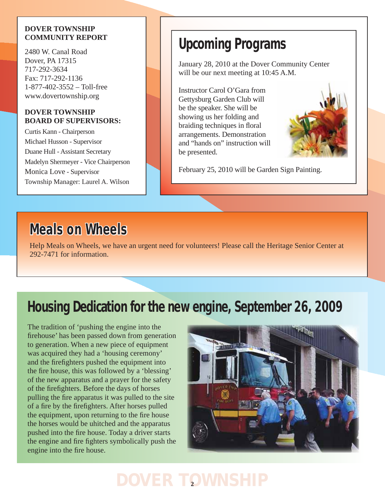#### **DOVER TOWNSHIP COMMUNITY REPORT**

2480 W. Canal Road Dover, PA 17315 717-292-3634 Fax: 717-292-1136 1-877-402-3552 – Toll-free www.dovertownship.org

#### **DOVER TOWNSHIP BOARD OF SUPERVISORS:**

Curtis Kann - Chairperson Michael Husson - Supervisor Duane Hull - Assistant Secretary Madelyn Shermeyer - Vice Chairperson Monica Love - Supervisor Township Manager: Laurel A. Wilson

# **Upcoming Programs**

January 28, 2010 at the Dover Community Center will be our next meeting at 10:45 A.M.

Instructor Carol O'Gara from Gettysburg Garden Club will be the speaker. She will be showing us her folding and braiding techniques in floral arrangements. Demonstration and "hands on" instruction will be presented.



February 25, 2010 will be Garden Sign Painting.

# **Meals on Wheels**

Help Meals on Wheels, we have an urgent need for volunteers! Please call the Heritage Senior Center at 292-7471 for information.

# **Housing Dedication for the new engine, September 26, 2009**

The tradition of 'pushing the engine into the firehouse' has been passed down from generation to generation. When a new piece of equipment was acquired they had a 'housing ceremony' and the firefighters pushed the equipment into the fire house, this was followed by a 'blessing' of the new apparatus and a prayer for the safety of the firefighters. Before the days of horses pulling the fire apparatus it was pulled to the site of a fire by the firefighters. After horses pulled the equipment, upon returning to the fire house the horses would be uhitched and the apparatus pushed into the fire house. Today a driver starts the engine and fire fighters symbolically push the engine into the fire house.

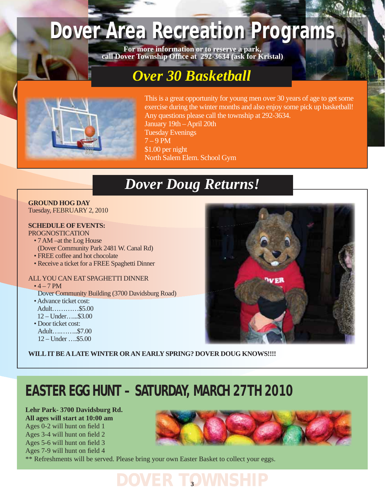# **Dover Area Recreation Programs**

**For more information or to reserve a park, call Dover Township Offi ce at 292-3634 (ask for Kristal)**

# *Over 30 Basketball*



This is a great opportunity for young men over 30 years of age to get some exercise during the winter months and also enjoy some pick up basketball! Any questions please call the township at 292-3634. January 19th – April 20th Tuesday Evenings  $7 - 9$  PM \$1.00 per night North Salem Elem. School Gym

# *Dover Doug Returns!*

**GROUND HOG DAY** Tuesday, FEBRUARY 2, 2010

**SCHEDULE OF EVENTS:** PROGNOSTICATION

- 7 AM –at the Log House (Dover Community Park 2481 W. Canal Rd)
- FREE coffee and hot chocolate
- Receive a ticket for a FREE Spaghetti Dinner
- ALL YOU CAN EAT SPAGHETTI DINNER  $• 4 - 7 PM$ 
	- Dover Community Building (3700 Davidsburg Road)
	- Advance ticket cost: Adult…………\$5.00  $12 -$  Under  $$3.00$
	- Door ticket cost: Adult….……..\$7.00 12 – Under ….\$5.00

**WILL IT BE A LATE WINTER OR AN EARLY SPRING? DOVER DOUG KNOWS!!!!**

# **EASTER EGG HUNT – SATURDAY, MARCH 27TH 2010**

**Lehr Park- 3700 Davidsburg Rd. All ages will start at 10:00 am** Ages  $0-2$  will hunt on field 1 Ages 3-4 will hunt on field 2 Ages 5-6 will hunt on field 3 Ages 7-9 will hunt on field 4

\*\* Refreshments will be served. Please bring your own Easter Basket to collect your eggs.

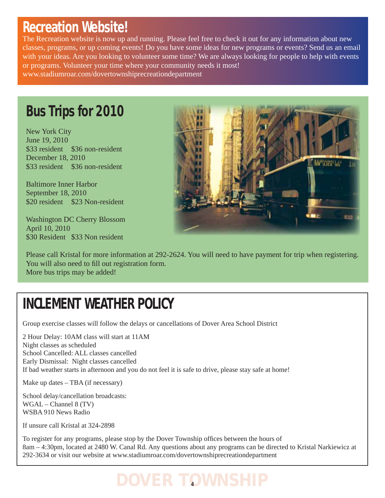### **Recreation Website!**

The Recreation website is now up and running. Please feel free to check it out for any information about new classes, programs, or up coming events! Do you have some ideas for new programs or events? Send us an email with your ideas. Are you looking to volunteer some time? We are always looking for people to help with events or programs. Volunteer your time where your community needs it most! www.stadiumroar.com/dovertownshiprecreationdepartment

# **Bus Trips for 2010**

New York City June 19, 2010 \$33 resident \$36 non-resident December 18, 2010 \$33 resident \$36 non-resident

Baltimore Inner Harbor September 18, 2010 \$20 resident \$23 Non-resident

Washington DC Cherry Blossom April 10, 2010 \$30 Resident \$33 Non resident



Please call Kristal for more information at 292-2624. You will need to have payment for trip when registering. You will also need to fill out registration form. More bus trips may be added!

# **INCLEMENT WEATHER POLICY**

Group exercise classes will follow the delays or cancellations of Dover Area School District

2 Hour Delay: 10AM class will start at 11AM Night classes as scheduled School Cancelled: ALL classes cancelled Early Dismissal: Night classes cancelled If bad weather starts in afternoon and you do not feel it is safe to drive, please stay safe at home!

Make up dates – TBA (if necessary)

School delay/cancellation broadcasts: WGAL – Channel 8 (TV) WSBA 910 News Radio

If unsure call Kristal at 324-2898

To register for any programs, please stop by the Dover Township offices between the hours of 8am – 4:30pm, located at 2480 W. Canal Rd. Any questions about any programs can be directed to Kristal Narkiewicz at 292-3634 or visit our website at www.stadiumroar.com/dovertownshiprecreationdepartment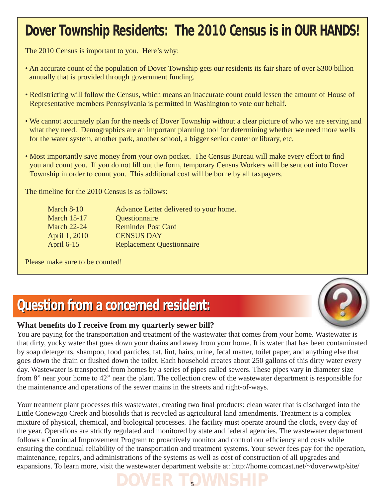# **Dover Township Residents: The 2010 Census is in OUR HANDS!**

The 2010 Census is important to you. Here's why:

- An accurate count of the population of Dover Township gets our residents its fair share of over \$300 billion annually that is provided through government funding.
- Redistricting will follow the Census, which means an inaccurate count could lessen the amount of House of Representative members Pennsylvania is permitted in Washington to vote our behalf.
- We cannot accurately plan for the needs of Dover Township without a clear picture of who we are serving and what they need. Demographics are an important planning tool for determining whether we need more wells for the water system, another park, another school, a bigger senior center or library, etc.
- Most importantly save money from your own pocket. The Census Bureau will make every effort to find you and count you. If you do not fill out the form, temporary Census Workers will be sent out into Dover Township in order to count you. This additional cost will be borne by all taxpayers.

The timeline for the 2010 Census is as follows:

| March $8-10$       | Advance Letter delivered to your home. |
|--------------------|----------------------------------------|
| <b>March 15-17</b> | Questionnaire                          |
| <b>March 22-24</b> | <b>Reminder Post Card</b>              |
| April 1, 2010      | <b>CENSUS DAY</b>                      |
| April 6-15         | <b>Replacement Questionnaire</b>       |

Please make sure to be counted!

# **Question from a concerned resident: Question from a concerned resident:**

#### What benefits do I receive from my quarterly sewer bill?

You are paying for the transportation and treatment of the wastewater that comes from your home. Wastewater is that dirty, yucky water that goes down your drains and away from your home. It is water that has been contaminated by soap detergents, shampoo, food particles, fat, lint, hairs, urine, fecal matter, toilet paper, and anything else that goes down the drain or flushed down the toilet. Each household creates about 250 gallons of this dirty water every day. Wastewater is transported from homes by a series of pipes called sewers. These pipes vary in diameter size from 8" near your home to 42" near the plant. The collection crew of the wastewater department is responsible for the maintenance and operations of the sewer mains in the streets and right-of-ways.

Your treatment plant processes this wastewater, creating two final products: clean water that is discharged into the Little Conewago Creek and biosolids that is recycled as agricultural land amendments. Treatment is a complex mixture of physical, chemical, and biological processes. The facility must operate around the clock, every day of the year. Operations are strictly regulated and monitored by state and federal agencies. The wastewater department follows a Continual Improvement Program to proactively monitor and control our efficiency and costs while ensuring the continual reliability of the transportation and treatment systems. Your sewer fees pay for the operation, maintenance, repairs, and administrations of the systems as well as cost of construction of all upgrades and expansions. To learn more, visit the wastewater department website at: http://home.comcast.net/~doverwwtp/site/



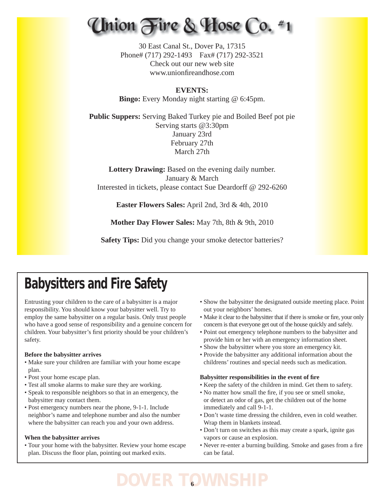# Union Fire & Hose Co. #1

30 East Canal St., Dover Pa, 17315 Phone# (717) 292-1493 Fax# (717) 292-3521 Check out our new web site www.unionfireandhose.com

**EVENTS: Bingo:** Every Monday night starting @ 6:45pm.

**Public Suppers:** Serving Baked Turkey pie and Boiled Beef pot pie Serving starts @3:30pm January 23rd February 27th March 27th

**Lottery Drawing:** Based on the evening daily number. January & March Interested in tickets, please contact Sue Deardorff @ 292-6260

**Easter Flowers Sales:** April 2nd, 3rd & 4th, 2010

**Mother Day Flower Sales:** May 7th, 8th & 9th, 2010

**Safety Tips:** Did you change your smoke detector batteries?

# **Babysitters and Fire Safety**

Entrusting your children to the care of a babysitter is a major responsibility. You should know your babysitter well. Try to employ the same babysitter on a regular basis. Only trust people who have a good sense of responsibility and a genuine concern for children. Your babysitter's first priority should be your children's safety.

#### **Before the babysitter arrives**

- Make sure your children are familiar with your home escape plan.
- Post your home escape plan.
- Test all smoke alarms to make sure they are working.
- Speak to responsible neighbors so that in an emergency, the babysitter may contact them.
- Post emergency numbers near the phone, 9-1-1. Include neighbor's name and telephone number and also the number where the babysitter can reach you and your own address.

#### **When the babysitter arrives**

• Tour your home with the babysitter. Review your home escape plan. Discuss the floor plan, pointing out marked exits.

- Show the babysitter the designated outside meeting place. Point out your neighbors' homes.
- Make it clear to the babysitter that if there is smoke or fire, your only concern is that everyone get out of the house quickly and safely.
- Point out emergency telephone numbers to the babysitter and provide him or her with an emergency information sheet.
- Show the babysitter where you store an emergency kit.
- Provide the babysitter any additional information about the childrens' routines and special needs such as medication.

#### **Babysitter responsibilities in the event of fi re**

- Keep the safety of the children in mind. Get them to safety.
- No matter how small the fire, if you see or smell smoke, or detect an odor of gas, get the children out of the home immediately and call 9-1-1.
- Don't waste time dressing the children, even in cold weather. Wrap them in blankets instead.
- Don't turn on switches as this may create a spark, ignite gas vapors or cause an explosion.
- Never re-enter a burning building. Smoke and gases from a fire can be fatal.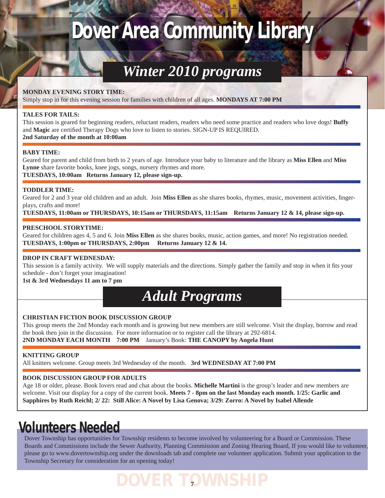# **Dover Area Community Library**

# *Winter 2010 programs*

#### **MONDAY EVENING STORY TIME:**

Simply stop in for this evening session for families with children of all ages. **MONDAYS AT 7:00 PM**

#### **TALES FOR TAILS:**

This session is geared for beginning readers, reluctant readers, readers who need some practice and readers who love dogs! **Buffy** and **Magic** are certified Therapy Dogs who love to listen to stories. SIGN-UP IS REQUIRED. **2nd Saturday of the month at 10:00am**

#### **BABY TIME:**

Geared for parent and child from birth to 2 years of age. Introduce your baby to literature and the library as **Miss Ellen** and **Miss Lynne** share favorite books, knee jogs, songs, nursery rhymes and more.

**TUESDAYS, 10:00am Returns January 12, please sign-up.**

#### **TODDLER TIME:**

Geared for 2 and 3 year old children and an adult. Join **Miss Ellen** as she shares books, rhymes, music, movement activities, fingerplays, crafts and more!

**TUESDAYS, 11:00am or THURSDAYS, 10:15am or THURSDAYS, 11:15am Returns January 12 & 14, please sign-up.**

#### **PRESCHOOL STORYTIME:**

Geared for children ages 4, 5 and 6. Join **Miss Ellen** as she shares books, music, action games, and more! No registration needed. **TUESDAYS, 1:00pm or THURSDAYS, 2:00pm Returns January 12 & 14.**

#### **DROP IN CRAFT WEDNESDAY:**

This session is a family activity. We will supply materials and the directions. Simply gather the family and stop in when it fits your schedule - don't forget your imagination!

**1st & 3rd Wednesdays 11 am to 7 pm**



#### **CHRISTIAN FICTION BOOK DISCUSSION GROUP**

This group meets the 2nd Monday each month and is growing but new members are still welcome. Visit the display, borrow and read the book then join in the discussion. For more information or to register call the library at 292-6814. **2ND MONDAY EACH MONTH 7:00 PM** January's Book: **THE CANOPY by Angela Hunt**

#### **KNITTING GROUP**

All knitters welcome. Group meets 3rd Wednesday of the month. **3rd WEDNESDAY AT 7:00 PM**

#### **BOOK DISCUSSION GROUP FOR ADULTS**

Age 18 or older, please. Book lovers read and chat about the books. **Michelle Martini** is the group's leader and new members are welcome. Visit our display for a copy of the current book. **Meets 7 - 8pm on the last Monday each month. 1/25: Garlic and Sapphires by Ruth Reichl; 2/ 22: Still Alice: A Novel by Lisa Genova; 3/29: Zorro: A Novel by Isabel Allende**

### **Volunteers Needed**

Dover Township has opportunities for Township residents to become involved by volunteering for a Board or Commission. These Boards and Commissions include the Sewer Authority, Planning Commission and Zoning Hearing Board, If you would like to volunteer, please go to www.dovertownship.org under the downloads tab and complete our volunteer application. Submit your application to the Township Secretary for consideration for an opening today!